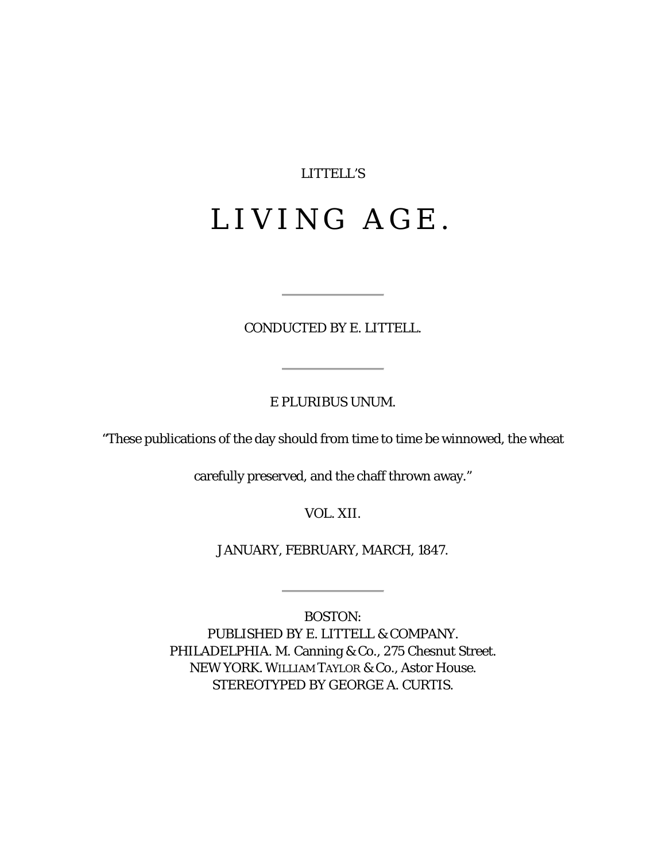# LITTELL'S

# LIVING AGE.

## CONDUCTED BY E. LITTELL.

### E PLURIBUS UNUM.

"These publications of the day should from time to time be winnowed, the wheat

carefully preserved, and the chaff thrown away."

VOL. XII.

JANUARY, FEBRUARY, MARCH, 1847.

BOSTON: PUBLISHED BY E. LITTELL & COMPANY. PHILADELPHIA. M. Canning & Co., 275 Chesnut Street. NEW YORK. WILLIAM TAYLOR & Co., Astor House. STEREOTYPED BY GEORGE A. CURTIS.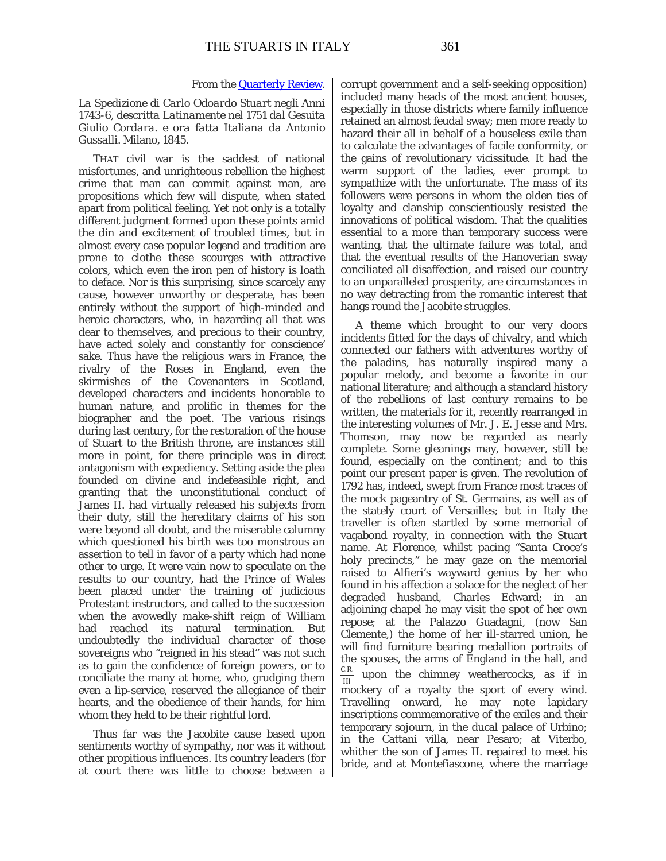#### From the [Quarterly Review.](http://books.google.com/books?id=CfXUAAAAMAAJ&dq=Quarterly%20Review%20Carlo%20Odoardo%20Stuart&pg=PA75#v=onepage&q&f=false)

*La Spedizione di Carlo Odoardo Stuart negli Anni* 1743-6, *descritta Latinamente nel* 1751 *dal Gesuita Giulio Cordara. e ora fatta Italiana da Antonio Gussalli.* Milano, 1845.

THAT civil war is the saddest of national misfortunes, and unrighteous rebellion the highest crime that man can commit against man, are propositions which few will dispute, when stated apart from political feeling. Yet not only is a totally different judgment formed upon these points amid the din and excitement of troubled times, but in almost every case popular legend and tradition are prone to clothe these scourges with attractive colors, which even the iron pen of history is loath to deface. Nor is this surprising, since scarcely any cause, however unworthy or desperate, has been entirely without the support of high-minded and heroic characters, who, in hazarding all that was dear to themselves, and precious to their country, have acted solely and constantly for conscience' sake. Thus have the religious wars in France, the rivalry of the Roses in England, even the skirmishes of the Covenanters in Scotland, developed characters and incidents honorable to human nature, and prolific in themes for the biographer and the poet. The various risings during last century, for the restoration of the house of Stuart to the British throne, are instances still more in point, for there principle was in direct antagonism with expediency. Setting aside the plea founded on divine and indefeasible right, and granting that the unconstitutional conduct of James II. had virtually released his subjects from their duty, still the hereditary claims of his son were beyond all doubt, and the miserable calumny which questioned his birth was too monstrous an assertion to tell in favor of a party which had none other to urge. It were vain now to speculate on the results to our country, had the Prince of Wales been placed under the training of judicious Protestant instructors, and called to the succession when the avowedly make-shift reign of William had reached its natural termination. But undoubtedly the individual character of those sovereigns who "reigned in his stead" was not such as to gain the confidence of foreign powers, or to conciliate the many at home, who, grudging them even a lip-service, reserved the allegiance of their hearts, and the obedience of their hands, for him whom they held to be their rightful lord.

Thus far was the Jacobite cause based upon sentiments worthy of sympathy, nor was it without other propitious influences. Its country leaders (for at court there was little to choose between a corrupt government and a self-seeking opposition) included many heads of the most ancient houses, especially in those districts where family influence retained an almost feudal sway; men more ready to hazard their all in behalf of a houseless exile than to calculate the advantages of facile conformity, or the gains of revolutionary vicissitude. It had the warm support of the ladies, ever prompt to sympathize with the unfortunate. The mass of its followers were persons in whom the olden ties of loyalty and clanship conscientiously resisted the innovations of political wisdom. That the qualities essential to a more than temporary success were wanting, that the ultimate failure was total, and that the eventual results of the Hanoverian sway conciliated all disaffection, and raised our country to an unparalleled prosperity, are circumstances in no way detracting from the romantic interest that hangs round the Jacobite struggles.

A theme which brought to our very doors incidents fitted for the days of chivalry, and which connected our fathers with adventures worthy of the paladins, has naturally inspired many a popular melody, and become a favorite in our national literature; and although a standard history of the rebellions of last century remains to be written, the materials for it, recently rearranged in the interesting volumes of Mr. J. E. Jesse and Mrs. Thomson, may now be regarded as nearly complete. Some gleanings may, however, still be found, especially on the continent; and to this point our present paper is given. The revolution of 1792 has, indeed, swept from France most traces of the mock pageantry of St. Germains, as well as of the stately court of Versailles; but in Italy the traveller is often startled by some memorial of vagabond royalty, in connection with the Stuart name. At Florence, whilst pacing "Santa Croce's holy precincts," he may gaze on the memorial raised to Alfieri's wayward genius by her who found in his affection a solace for the neglect of her degraded husband, Charles Edward; in an adjoining chapel he may visit the spot of her own repose; at the Palazzo Guadagni, (now San Clemente,) the home of her ill-starred union, he will find furniture bearing medallion portraits of the spouses, the arms of England in the hall, and C.R. upon the chimney weathercocks, as if in mockery of a royalty the sport of every wind. Travelling onward, he may note lapidary inscriptions commemorative of the exiles and their temporary sojourn, in the ducal palace of Urbino; in the Cattani villa, near Pesaro; at Viterbo, whither the son of James II. repaired to meet his bride, and at Montefiascone, where the marriage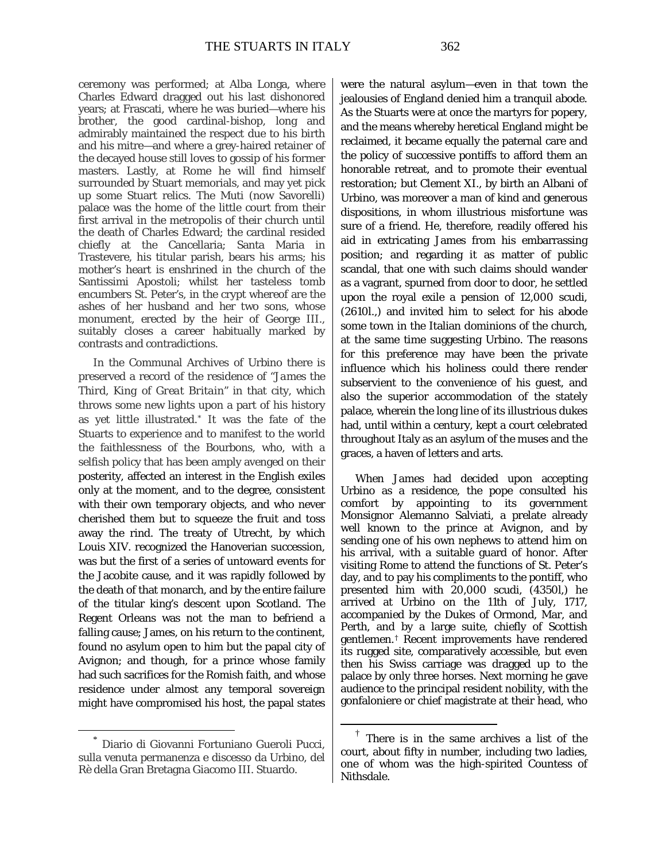ceremony was performed; at Alba Longa, where Charles Edward dragged out his last dishonored years; at Frascati, where he was buried—where his brother, the good cardinal-bishop, long and admirably maintained the respect due to his birth and his mitre—and where a grey-haired retainer of the decayed house still loves to gossip of his former masters. Lastly, at Rome he will find himself surrounded by Stuart memorials, and may yet pick up some Stuart relics. The Muti (now Savorelli) palace was the home of the little court from their first arrival in the metropolis of their church until the death of Charles Edward; the cardinal resided chiefly at the Cancellaria; Santa Maria in Trastevere, his titular parish, bears his arms; his mother's heart is enshrined in the church of the Santissimi Apostoli; whilst her tasteless tomb encumbers St. Peter's, in the crypt whereof are the ashes of her husband and her two sons, whose monument, erected by the heir of George III., suitably closes a career habitually marked by contrasts and contradictions.

In the Communal Archives of Urbino there is preserved a record of the residence of "*James the Third, King of Great Britain"* in that city, which throws some new lights upon a part of his history as yet little illustrated.[\\*](#page-2-0) It was the fate of the Stuarts to experience and to manifest to the world the faithlessness of the Bourbons, who, with a selfish policy that has been amply avenged on their posterity, affected an interest in the English exiles only at the moment, and to the degree, consistent with their own temporary objects, and who never cherished them but to squeeze the fruit and toss away the rind. The treaty of Utrecht, by which Louis XIV. recognized the Hanoverian succession, was but the first of a series of untoward events for the Jacobite cause, and it was rapidly followed by the death of that monarch, and by the entire failure of the titular king's descent upon Scotland. The Regent Orleans was not the man to befriend a falling cause; James, on his return to the continent, found no asylum open to him but the papal city of Avignon; and though, for a prince whose family had such sacrifices for the Romish faith, and whose residence under almost any temporal sovereign might have compromised his host, the papal states

were the natural asylum—even in that town the jealousies of England denied him a tranquil abode. As the Stuarts were at once the martyrs for popery, and the means whereby heretical England might be reclaimed, it became equally the paternal care and the policy of successive pontiffs to afford them an honorable retreat, and to promote their eventual restoration; but Clement XI., by birth an Albani of Urbino, was moreover a man of kind and generous dispositions, in whom illustrious misfortune was sure of a friend. He, therefore, readily offered his aid in extricating James from his embarrassing position; and regarding it as matter of public scandal, that one with such claims should wander as a vagrant, spurned from door to door, he settled upon the royal exile a pension of 12,000 scudi, (2610*l*.,) and invited him to select for his abode some town in the Italian dominions of the church, at the same time suggesting Urbino. The reasons for this preference may have been the private influence which his holiness could there render subservient to the convenience of his guest, and also the superior accommodation of the stately palace, wherein the long line of its illustrious dukes had, until within a century, kept a court celebrated throughout Italy as an asylum of the muses and the graces, a haven of letters and arts.

When James had decided upon accepting Urbino as a residence, the pope consulted his comfort by appointing to its government Monsignor Alemanno Salviati, a prelate already well known to the prince at Avignon, and by sending one of his own nephews to attend him on his arrival, with a suitable guard of honor. After visiting Rome to attend the functions of St. Peter's day, and to pay his compliments to the pontiff, who presented him with 20,000 scudi, (4350*l*,) he arrived at Urbino on the 11th of July, 1717, accompanied by the Dukes of Ormond, Mar, and Perth, and by a large suite, chiefly of Scottish gentlemen.[†](#page-2-1) Recent improvements have rendered its rugged site, comparatively accessible, but even then his Swiss carriage was dragged up to the palace by only three horses. Next morning he gave audience to the principal resident nobility, with the gonfaloniere or chief magistrate at their head, who

<span id="page-2-1"></span><span id="page-2-0"></span>Diario di Giovanni Fortuniano Gueroli Pucci, sulla venuta permanenza e discesso da Urbino, del Rè della Gran Bretagna Giacomo III. Stuardo.

There is in the same archives a list of the court, about fifty in number, including two ladies, one of whom was the high-spirited Countess of Nithsdale.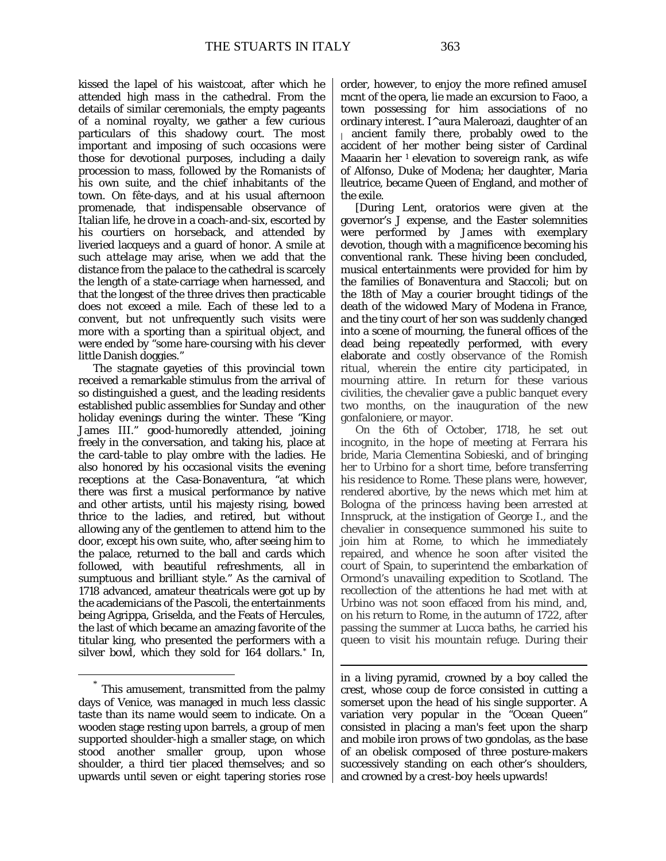kissed the lapel of his waistcoat, after which he attended high mass in the cathedral. From the details of similar ceremonials, the empty pageants of a nominal royalty, we gather a few curious particulars of this shadowy court. The most important and imposing of such occasions were those for devotional purposes, including a daily procession to mass, followed by the Romanists of his own suite, and the chief inhabitants of the town. On fête-days, and at his usual afternoon promenade, that indispensable observance of Italian life, he drove in a coach-and-six, escorted by his courtiers on horseback, and attended by liveried lacqueys and a guard of honor. A smile at such *attelage* may arise, when we add that the distance from the palace to the cathedral is scarcely the length of a state-carriage when harnessed, and that the longest of the three drives then practicable does not exceed a mile. Each of these led to a convent, but not unfrequently such visits were more with a sporting than a spiritual object, and were ended by "some hare-coursing with his clever little Danish doggies."

The stagnate gayeties of this provincial town received a remarkable stimulus from the arrival of so distinguished a guest, and the leading residents established public assemblies for Sunday and other holiday evenings during the winter. These "King James III." good-humoredly attended, joining freely in the conversation, and taking his, place at the card-table to play *ombre* with the ladies. He also honored by his occasional visits the evening receptions at the Casa-Bonaventura, "at which there was first a musical performance by native and other artists, until his majesty rising, bowed thrice to the ladies, and retired, but without allowing any of the gentlemen to attend him to the door, except his own suite, who, after seeing him to the palace, returned to the ball and cards which followed, with beautiful refreshments, all in sumptuous and brilliant style." As the carnival of 1718 advanced, amateur theatricals were got up by the academicians of the Pascoli, the entertainments being Agrippa, Griselda, and the Feats of Hercules, the last of which became an amazing favorite of the titular king, who presented the performers with a silver bowl, which they sold for 164 dollars.[\\*](#page-3-0) In,

order, however, to enjoy the more refined amuseI mcnt of the opera, lie made an excursion to Faoo, a town possessing for him associations of no ordinary interest. I^aura Maleroazi, daughter of an  $\parallel$  ancient family there, probably owed to the accident of her mother being sister of Cardinal Maaarin her  $\frac{1}{1}$  elevation to sovereign rank, as wife of Alfonso, Duke of Modena; her daughter, Maria lleutrice, became Queen of England, and mother of the exile.

[During Lent, oratorios were given at the governor's J expense, and the Easter solemnities were performed by James with exemplary devotion, though with a magnificence becoming his conventional rank. These hiving been concluded, musical entertainments were provided for him by the families of Bonaventura and Staccoli; but on the 18th of May a courier brought tidings of the death of the widowed Mary of Modena in France, and the tiny court of her son was suddenly changed into a scene of mourning, the funeral offices of the dead being repeatedly performed, with every elaborate and costly observance of the Romish ritual, wherein the entire city participated, in mourning attire. In return for these various civilities, the chevalier gave a public banquet every two months, on the inauguration of the new gonfaloniere, or mayor.

On the 6th of October, 1718, he set out incognito, in the hope of meeting at Ferrara his bride, Maria Clementina Sobieski, and of bringing her to Urbino for a short time, before transferring his residence to Rome. These plans were, however, rendered abortive, by the news which met him at Bologna of the princess having been arrested at Innspruck, at the instigation of George I., and the chevalier in consequence summoned his suite to join him at Rome, to which he immediately repaired, and whence he soon after visited the court of Spain, to superintend the embarkation of Ormond's unavailing expedition to Scotland. The recollection of the attentions he had met with at Urbino was not soon effaced from his mind, and, on his return to Rome, in the autumn of 1722, after passing the summer at Lucca baths, he carried his queen to visit his mountain refuge. During their

in a living pyramid, crowned by a boy called the crest, whose *coup de force* consisted in cutting a somerset upon the head of his single supporter. A variation very popular in the "Ocean Queen" consisted in placing a man's feet upon the sharp and mobile iron prows of two gondolas, as the base of an obelisk composed of three posture-makers successively standing on each other's shoulders, and crowned by a *crest-boy* heels upwards!

 $\overline{a}$ 

<span id="page-3-0"></span> <sup>\*</sup> This amusement, transmitted from the palmy days of Venice, was managed in much less classic taste than its name would seem to indicate. On a wooden stage resting upon barrels, a group of men supported shoulder-high a smaller stage, on which stood another smaller group, upon whose shoulder, a third tier placed themselves; and so upwards until seven or eight tapering stories rose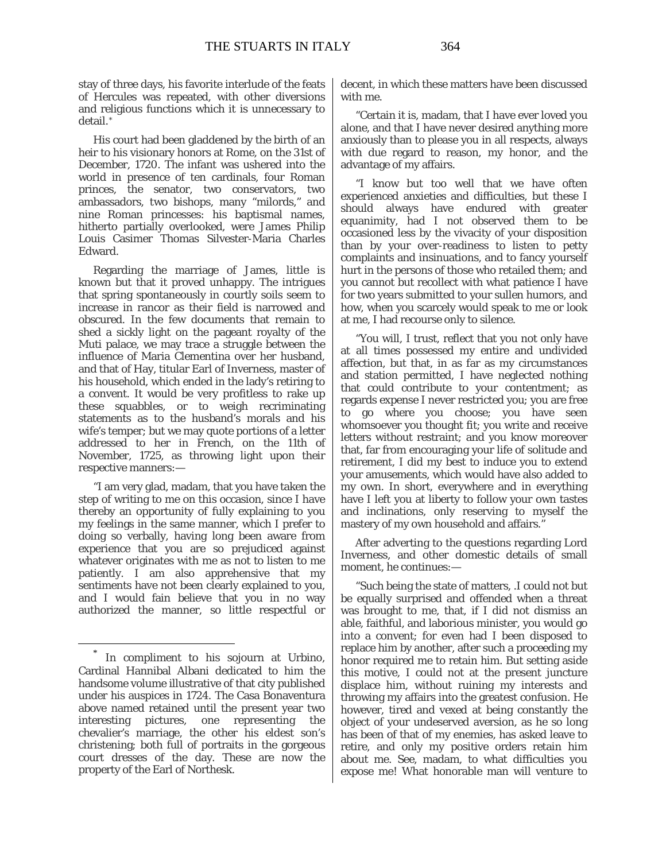stay of three days, his favorite interlude of the feats of Hercules was repeated, with other diversions and religious functions which it is unnecessary to detail.[\\*](#page-4-0)

His court had been gladdened by the birth of an heir to his visionary honors at Rome, on the 31st of December, 1720. The infant was ushered into the world in presence of ten cardinals, four Roman princes, the senator, two conservators, two ambassadors, two bishops, many "milords," and nine Roman princesses: his baptismal names, hitherto partially overlooked, were James Philip Louis Casimer Thomas Silvester-Maria Charles Edward.

Regarding the marriage of James, little is known but that it proved unhappy. The intrigues that spring spontaneously in courtly soils seem to increase in rancor as their field is narrowed and obscured. In the few documents that remain to shed a sickly light on the pageant royalty of the Muti palace, we may trace a struggle between the influence of Maria Clementina over her husband, and that of Hay, titular Earl of Inverness, master of his household, which ended in the lady's retiring to a convent. It would be very profitless to rake up these squabbles, or to weigh recriminating statements as to the husband's morals and his wife's temper; but we may quote portions of a letter addressed to her in French, on the 11th of November, 1725, as throwing light upon their respective manners:—

"I am very glad, madam, that you have taken the step of writing to me on this occasion, since I have thereby an opportunity of fully explaining to you my feelings in the same manner, which I prefer to doing so verbally, having long been aware from experience that you are so prejudiced against whatever originates with me as not to listen to me patiently. I am also apprehensive that my sentiments have not been clearly explained to you, and I would fain believe that you in no way authorized the manner, so little respectful or decent, in which these matters have been discussed with me.

"Certain it is, madam, that I have ever loved you alone, and that I have never desired anything more anxiously than to please you in all respects, always with due regard to reason, my honor, and the advantage of my affairs.

"I know but too well that we have often experienced anxieties and difficulties, but these I should always have endured with greater equanimity, had I not observed them to be occasioned less by the vivacity of your disposition than by your over-readiness to listen to petty complaints and insinuations, and to fancy yourself hurt in the persons of those who retailed them; and you cannot but recollect with what patience I have for two years submitted to your sullen humors, and how, when you scarcely would speak to me or look at me, I had recourse only to silence.

"You will, I trust, reflect that you not only have at all times possessed my entire and undivided affection, but that, in as far as my circumstances and station permitted, I have neglected nothing that could contribute to your contentment; as regards expense I never restricted you; you are free to go where you choose; you have seen whomsoever you thought fit; you write and receive letters without restraint; and you know moreover that, far from encouraging your life of solitude and retirement, I did my best to induce you to extend your amusements, which would have also added to my own. In short, everywhere and in everything have I left you at liberty to follow your own tastes and inclinations, only reserving to myself the mastery of my own household and affairs."

After adverting to the questions regarding Lord Inverness, and other domestic details of small moment, he continues:—

"Such being the state of matters, .I could not but be equally surprised and offended when a threat was brought to me, that, if I did not dismiss an able, faithful, and laborious minister, you would go into a convent; for even had I been disposed to replace him by another, after such a proceeding my honor required me to retain him. But setting aside this motive, I could not at the present juncture displace him, without ruining my interests and throwing my affairs into the greatest confusion. He however, tired and vexed at being constantly the object of your undeserved aversion, as he so long has been of that of my enemies, has asked leave to retire, and only my positive orders retain him about me. See, madam, to what difficulties you expose me! What honorable man will venture to

<span id="page-4-0"></span>In compliment to his sojourn at Urbino, Cardinal Hannibal Albani dedicated to him the handsome volume illustrative of that city published under his auspices in 1724. The Casa Bonaventura above named retained until the present year two interesting pictures, one representing the chevalier's marriage, the other his eldest son's christening; both full of portraits in the gorgeous court dresses of the day. These are now the property of the Earl of Northesk.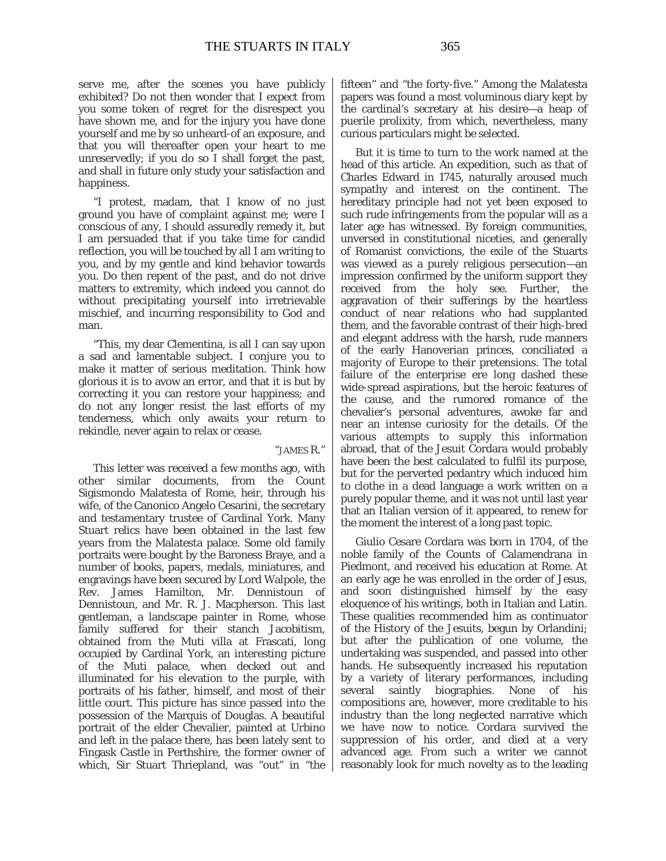serve me, after the scenes you have publicly exhibited? Do not then wonder that I expect from you some token of regret for the disrespect you have shown me, and for the injury you have done yourself and me by so unheard-of an exposure, and that you will thereafter open your heart to me unreservedly; if you do so I shall forget the past, and shall in future only study your satisfaction and happiness.

"I protest, madam, that I know of no just ground you have of complaint against me; were I conscious of any, I should assuredly remedy it, but I am persuaded that if you take time for candid reflection, you will be touched by all I am writing to you, and by my gentle and kind behavior towards you. Do then repent of the past, and do not drive matters to extremity, which indeed you cannot do without precipitating yourself into irretrievable mischief, and incurring responsibility to God and man.

"This, my dear Clementina, is all I can say upon a sad and lamentable subject. I conjure you to make it matter of serious meditation. Think how glorious it is to avow an error, and that it is but by correcting it you can restore your happiness; and do not any longer resist the last efforts of my tenderness, which only awaits your return to rekindle, never again to relax or cease.

#### "JAMES R."

This letter was received a few months ago, with other similar documents, from the Count Sigismondo Malatesta of Rome, heir, through his wife, of the Canonico Angelo Cesarini, the secretary and testamentary trustee of Cardinal York. Many Stuart relics have been obtained in the last few years from the Malatesta palace. Some old family portraits were bought by the Baroness Braye, and a number of books, papers, medals, miniatures, and engravings have been secured by Lord Walpole, the Rev. James Hamilton, Mr. Dennistoun of Dennistoun, and Mr. R. J. Macpherson. This last gentleman, a landscape painter in Rome, whose family suffered for their stanch Jacobitism, obtained from the Muti villa at Frascati, long occupied by Cardinal York, an interesting picture of the Muti palace, when decked out and illuminated for his elevation to the purple, with portraits of his father, himself, and most of their little court. This picture has since passed into the possession of the Marquis of Douglas. A beautiful portrait of the elder Chevalier, painted at Urbino and left in the palace there, has been lately sent to Fingask Castle in Perthshire, the former owner of which, Sir Stuart Thriepland, was "out" in "the fifteen" and "the forty-five." Among the Malatesta papers was found a most voluminous diary kept by the cardinal's secretary at his desire—a heap of puerile prolixity, from which, nevertheless, many curious particulars might be selected.

But it is time to turn to the work named at the head of this article. An expedition, such as that of Charles Edward in 1745, naturally aroused much sympathy and interest on the continent. The hereditary principle had not yet been exposed to such rude infringements from the popular will as a later age has witnessed. By foreign communities, unversed in constitutional niceties, and generally of Romanist convictions, the exile of the Stuarts was viewed as a purely religious persecution—an impression confirmed by the uniform support they received from the holy see. Further, the aggravation of their sufferings by the heartless conduct of near relations who had supplanted them, and the favorable contrast of their high-bred and elegant address with the harsh, rude manners of the early Hanoverian princes, conciliated a majority of Europe to their pretensions. The total failure of the enterprise ere long dashed these wide-spread aspirations, but the heroic features of the cause, and the rumored romance of the chevalier's personal adventures, awoke far and near an intense curiosity for the details. Of the various attempts to supply this information abroad, that of the Jesuit Cordara would probably have been the best calculated to fulfil its purpose, but for the perverted pedantry which induced him to clothe in a dead language a work written on a purely popular theme, and it was not until last year that an Italian version of it appeared, to renew for the moment the interest of a long past topic.

Giulio Cesare Cordara was born in 1704, of the noble family of the Counts of Calamendrana in Piedmont, and received his education at Rome. At an early age he was enrolled in the order of Jesus, and soon distinguished himself by the easy eloquence of his writings, both in Italian and Latin. These qualities recommended him as continuator of the History of the Jesuits, begun by Orlandini; but after the publication of one volume, the undertaking was suspended, and passed into other hands. He subsequently increased his reputation by a variety of literary performances, including several saintly biographies. None of his compositions are, however, more creditable to his industry than the long neglected narrative which we have now to notice. Cordara survived the suppression of his order, and died at a very advanced age. From such a writer we cannot reasonably look for much novelty as to the leading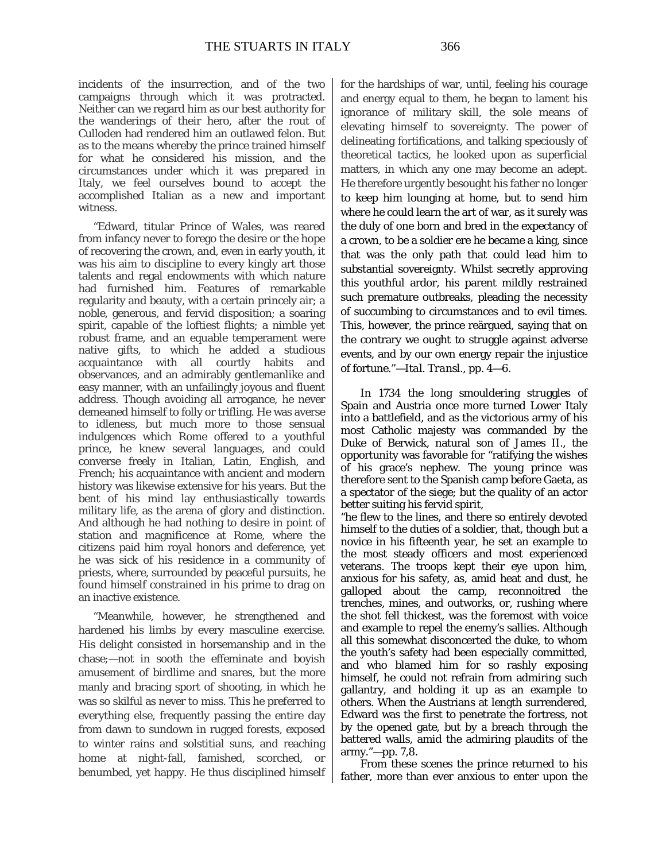incidents of the insurrection, and of the two campaigns through which it was protracted. Neither can we regard him as our best authority for the wanderings of their hero, after the rout of Culloden had rendered him an outlawed felon. But as to the means whereby the prince trained himself for what he considered his mission, and the circumstances under which it was prepared in Italy, we feel ourselves bound to accept the accomplished Italian as a new and important witness.

"Edward, titular Prince of Wales, was reared from infancy never to forego the desire or the hope of recovering the crown, and, even in early youth, it was his aim to discipline to every kingly art those talents and regal endowments with which nature had furnished him. Features of remarkable regularity and beauty, with a certain princely air; a noble, generous, and fervid disposition; a soaring spirit, capable of the loftiest flights; a nimble yet robust frame, and an equable temperament were native gifts, to which he added a studious acquaintance with all courtly habits and observances, and an admirably gentlemanlike and easy manner, with an unfailingly joyous and fluent address. Though avoiding all arrogance, he never demeaned himself to folly or trifling. He was averse to idleness, but much more to those sensual indulgences which Rome offered to a youthful prince, he knew several languages, and could converse freely in Italian, Latin, English, and French; his acquaintance with ancient and modern history was likewise extensive for his years. But the bent of his mind lay enthusiastically towards military life, as the arena of glory and distinction. And although he had nothing to desire in point of station and magnificence at Rome, where the citizens paid him royal honors and deference, yet he was sick of his residence in a community of priests, where, surrounded by peaceful pursuits, he found himself constrained in his prime to drag on an inactive existence.

"Meanwhile, however, he strengthened and hardened his limbs by every masculine exercise. His delight consisted in horsemanship and in the chase;—not in sooth the effeminate and boyish amusement of birdlime and snares, but the more manly and bracing sport of shooting, in which he was so skilful as never to miss. This he preferred to everything else, frequently passing the entire day from dawn to sundown in rugged forests, exposed to winter rains and solstitial suns, and reaching home at night-fall, famished, scorched, or benumbed, yet happy. He thus disciplined himself for the hardships of war, until, feeling his courage and energy equal to them, he began to lament his ignorance of military skill, the sole means of elevating himself to sovereignty. The power of delineating fortifications, and talking speciously of theoretical tactics, he looked upon as superficial matters, in which any one may become an adept. He therefore urgently besought his father no longer to keep him lounging at home, but to send him where he could learn the art of war, as it surely was the duly of one born and bred in the expectancy of a crown, to be a soldier ere he became a king, since that was the only path that could lead him to substantial sovereignty. Whilst secretly approving this youthful ardor, his parent mildly restrained such premature outbreaks, pleading the necessity of succumbing to circumstances and to evil times. This, however, the prince reärgued, saying that on the contrary we ought to struggle against adverse events, and by our own energy repair the injustice of fortune."—*Ital. Transl*., pp. 4—6.

In 1734 the long smouldering struggles of Spain and Austria once more turned Lower Italy into a battlefield, and as the victorious army of his most Catholic majesty was commanded by the Duke of Berwick, natural son of James II., the opportunity was favorable for "ratifying the wishes of his grace's nephew. The young prince was therefore sent to the Spanish camp before Gaeta, as a spectator of the siege; but the quality of an actor better suiting his fervid spirit,

"he flew to the lines, and there so entirely devoted himself to the duties of a soldier, that, though but a novice in his fifteenth year, he set an example to the most steady officers and most experienced veterans. The troops kept their eye upon him, anxious for his safety, as, amid heat and dust, he galloped about the camp, reconnoitred the trenches, mines, and outworks, or, rushing where the shot fell thickest, was the foremost with voice and example to repel the enemy's sallies. Although all this somewhat disconcerted the duke, to whom the youth's safety had been especially committed, and who blamed him for so rashly exposing himself, he could not refrain from admiring such gallantry, and holding it up as an example to others. When the Austrians at length surrendered, Edward was the first to penetrate the fortress, not by the opened gate, but by a breach through the battered walls, amid the admiring plaudits of the army."—pp. 7,8.

From these scenes the prince returned to his father, more than ever anxious to enter upon the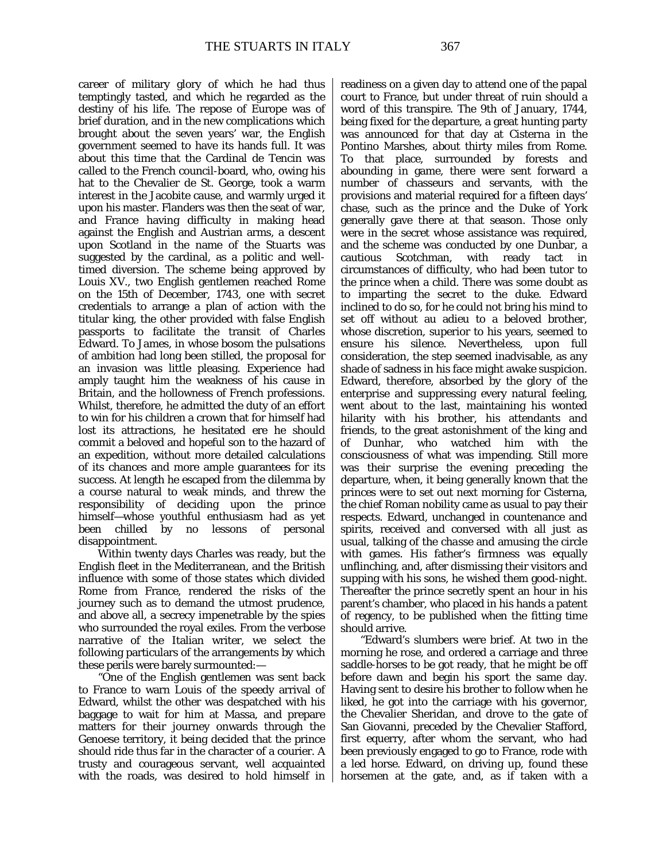career of military glory of which he had thus temptingly tasted, and which he regarded as the destiny of his life. The repose of Europe was of brief duration, and in the new complications which brought about the seven years' war, the English government seemed to have its hands full. It was about this time that the Cardinal de Tencin was called to the French council-board, who, owing his hat to the Chevalier de St. George, took a warm interest in the Jacobite cause, and warmly urged it upon his master. Flanders was then the seat of war, and France having difficulty in making head against the English and Austrian arms, a descent upon Scotland in the name of the Stuarts was suggested by the cardinal, as a politic and welltimed diversion. The scheme being approved by Louis XV., two English gentlemen reached Rome on the 15th of December, 1743, one with secret credentials to arrange a plan of action with the titular king, the other provided with false English passports to facilitate the transit of Charles Edward. To James, in whose bosom the pulsations of ambition had long been stilled, the proposal for an invasion was little pleasing. Experience had amply taught him the weakness of his cause in Britain, and the hollowness of French professions. Whilst, therefore, he admitted the duty of an effort to win for his children a crown that for himself had lost its attractions, he hesitated ere he should commit a beloved and hopeful son to the hazard of an expedition, without more detailed calculations of its chances and more ample guarantees for its success. At length he escaped from the dilemma by a course natural to weak minds, and threw the responsibility of deciding upon the prince himself—whose youthful enthusiasm had as yet been chilled by no lessons of personal disappointment.

Within twenty days Charles was ready, but the English fleet in the Mediterranean, and the British influence with some of those states which divided Rome from France, rendered the risks of the journey such as to demand the utmost prudence, and above all, a secrecy impenetrable by the spies who surrounded the royal exiles. From the verbose narrative of the Italian writer, we select the following particulars of the arrangements by which these perils were barely surmounted:—

"One of the English gentlemen was sent back to France to warn Louis of the speedy arrival of Edward, whilst the other was despatched with his baggage to wait for him at Massa, and prepare matters for their journey onwards through the Genoese territory, it being decided that the prince should ride thus far in the character of a courier. A trusty and courageous servant, well acquainted with the roads, was desired to hold himself in readiness on a given day to attend one of the papal court to France, but under threat of ruin should a word of this transpire. The 9th of January, 1744, being fixed for the departure, a great hunting party was announced for that day at Cisterna in the Pontino Marshes, about thirty miles from Rome. To that place, surrounded by forests and abounding in game, there were sent forward a number of chasseurs and servants, with the provisions and material required for a fifteen days' chase, such as the prince and the Duke of York generally gave there at that season. Those only were in the secret whose assistance was required, and the scheme was conducted by one Dunbar, a cautious Scotchman, with ready tact in circumstances of difficulty, who had been tutor to the prince when a child. There was some doubt as to imparting the secret to the duke. Edward inclined to do so, for he could not bring his mind to set off without au adieu to a beloved brother, whose discretion, superior to his years, seemed to ensure his silence. Nevertheless, upon full consideration, the step seemed inadvisable, as any shade of sadness in his face might awake suspicion. Edward, therefore, absorbed by the glory of the enterprise and suppressing every natural feeling, went about to the last, maintaining his wonted hilarity with his brother, his attendants and friends, to the great astonishment of the king and of Dunhar, who watched him with the consciousness of what was impending. Still more was their surprise the evening preceding the departure, when, it being generally known that the princes were to set out next morning for Cisterna, the chief Roman nobility came as usual to pay their respects. Edward, unchanged in countenance and spirits, received and conversed with all just as usual, talking of the *chasse* and amusing the circle with games. His father's firmness was equally unflinching, and, after dismissing their visitors and supping with his sons, he wished them good-night. Thereafter the prince secretly spent an hour in his parent's chamber, who placed in his hands a patent of regency, to be published when the fitting time should arrive.

"Edward's slumbers were brief. At two in the morning he rose, and ordered a carriage and three saddle-horses to be got ready, that he might be off before dawn and begin his sport the same day. Having sent to desire his brother to follow when he liked, he got into the carriage with his governor, the Chevalier Sheridan, and drove to the gate of San Giovanni, preceded by the Chevalier Stafford, first equerry, after whom the servant, who had been previously engaged to go to France, rode with a led horse. Edward, on driving up, found these horsemen at the gate, and, as if taken with a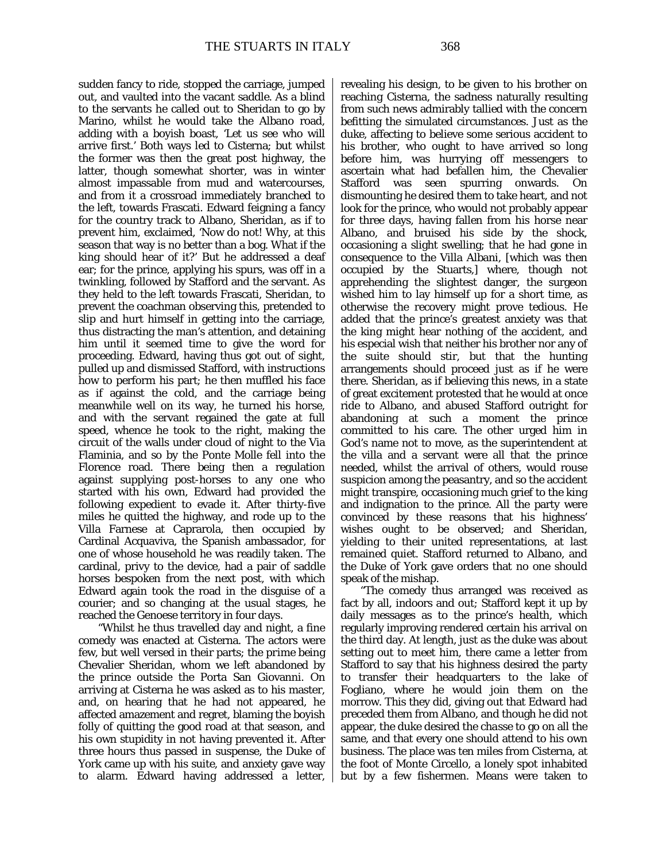sudden fancy to ride, stopped the carriage, jumped out, and vaulted into the vacant saddle. As a blind to the servants he called out to Sheridan to go by Marino, whilst he would take the Albano road, adding with a boyish boast, 'Let us see who will arrive first.' Both ways led to Cisterna; but whilst the former was then the great post highway, the latter, though somewhat shorter, was in winter almost impassable from mud and watercourses, and from it a crossroad immediately branched to the left, towards Frascati. Edward feigning a fancy for the country track to Albano, Sheridan, as if to prevent him, exclaimed, 'Now do not! Why, at this season that way is no better than a bog. What if the king should hear of it?' But he addressed a deaf ear; for the prince, applying his spurs, was off in a twinkling, followed by Stafford and the servant. As they held to the left towards Frascati, Sheridan, to prevent the coachman observing this, pretended to slip and hurt himself in getting into the carriage, thus distracting the man's attention, and detaining him until it seemed time to give the word for proceeding. Edward, having thus got out of sight, pulled up and dismissed Stafford, with instructions how to perform his part; he then muffled his face as if against the cold, and the carriage being meanwhile well on its way, he turned his horse, and with the servant regained the gate at full speed, whence he took to the right, making the circuit of the walls under cloud of night to the Via Flaminia, and so by the Ponte Molle fell into the Florence road. There being then a regulation against supplying post-horses to any one who started with his own, Edward had provided the following expedient to evade it. After thirty-five miles he quitted the highway, and rode up to the Villa Farnese at Caprarola, then occupied by Cardinal Acquaviva, the Spanish ambassador, for one of whose household he was readily taken. The cardinal, privy to the device, had a pair of saddle horses bespoken from the next post, with which Edward again took the road in the disguise of a courier; and so changing at the usual stages, he reached the Genoese territory in four days.

"Whilst he thus travelled day and night, a fine comedy was enacted at Cisterna. The actors were few, but well versed in their parts; the *prime* being Chevalier Sheridan, whom we left abandoned by the prince outside the Porta San Giovanni. On arriving at Cisterna he was asked as to his master, and, on hearing that he had not appeared, he affected amazement and regret, blaming the boyish folly of quitting the good road at that season, and his own stupidity in not having prevented it. After three hours thus passed in suspense, the Duke of York came up with his suite, and anxiety gave way to alarm. Edward having addressed a letter, revealing his design, to be given to his brother on reaching Cisterna, the sadness naturally resulting from such news admirably tallied with the concern befitting the simulated circumstances. Just as the duke, affecting to believe some serious accident to his brother, who ought to have arrived so long before him, was hurrying off messengers to ascertain what had befallen him, the Chevalier Stafford was seen spurring onwards. On dismounting he desired them to take heart, and not look for the prince, who would not probably appear for three days, having fallen from his horse near Albano, and bruised his side by the shock, occasioning a slight swelling; that he had gone in consequence to the Villa Albani, [which was then occupied by the Stuarts,] where, though not apprehending the slightest danger, the surgeon wished him to lay himself up for a short time, as otherwise the recovery might prove tedious. He added that the prince's greatest anxiety was that the king might hear nothing of the accident, and his especial wish that neither his brother nor any of the suite should stir, but that the hunting arrangements should proceed just as if he were there. Sheridan, as if believing this news, in a state of great excitement protested that he would at once ride to Albano, and abused Stafford outright for abandoning at such a moment the prince committed to his care. The other urged him in God's name not to move, as the superintendent at the villa and a servant were all that the prince needed, whilst the arrival of others, would rouse suspicion among the peasantry, and so the accident might transpire, occasioning much grief to the king and indignation to the prince. All the party were convinced by these reasons that his highness' wishes ought to be observed; and Sheridan, yielding to their united representations, at last remained quiet. Stafford returned to Albano, and the Duke of York gave orders that no one should speak of the mishap.

"The comedy thus arranged was received as fact by all, indoors and out; Stafford kept it up by daily messages as to the prince's health, which regularly improving rendered certain his arrival on the third day. At length, just as the duke was about setting out to meet him, there came a letter from Stafford to say that his highness desired the party to transfer their headquarters to the lake of Fogliano, where he would join them on the morrow. This they did, giving out that Edward had preceded them from Albano, and though he did not appear, the duke desired the *chasse* to go on all the same, and that every one should attend to his own business. The place was ten miles from Cisterna, at the foot of Monte Circello, a lonely spot inhabited but by a few fishermen. Means were taken to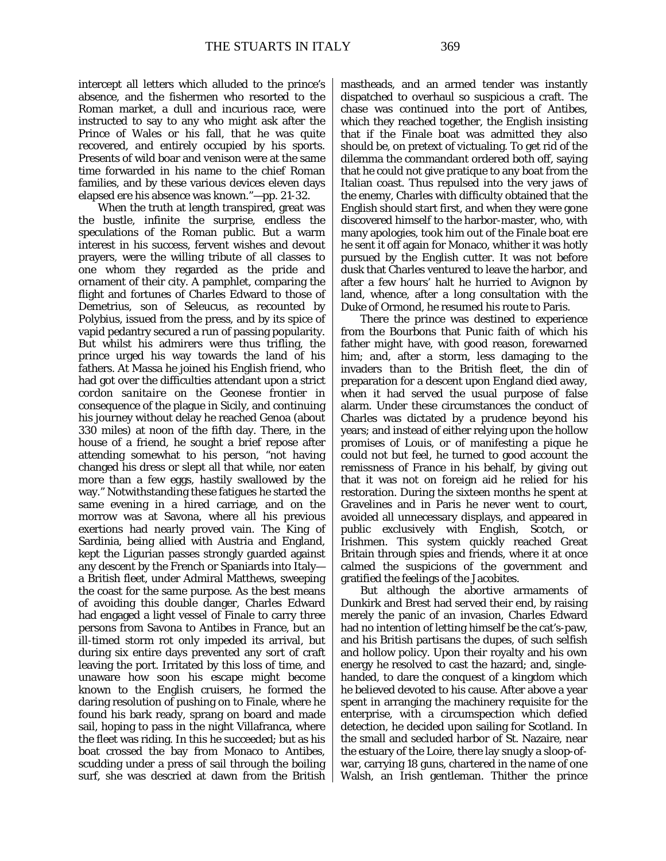intercept all letters which alluded to the prince's absence, and the fishermen who resorted to the Roman market, a dull and incurious race, were instructed to say to any who might ask after the Prince of Wales or his fall, that he was quite recovered, and entirely occupied by his sports. Presents of wild boar and venison were at the same time forwarded in his name to the chief Roman families, and by these various devices eleven days elapsed ere his absence was known."—pp. 21-32.

When the truth at length transpired, great was the bustle, infinite the surprise, endless the speculations of the Roman public. But a warm interest in his success, fervent wishes and devout prayers, were the willing tribute of all classes to one whom they regarded as the pride and ornament of their city. A pamphlet, comparing the flight and fortunes of Charles Edward to those of Demetrius, son of Seleucus, as recounted by Polybius, issued from the press, and by its spice of vapid pedantry secured a run of passing popularity. But whilst his admirers were thus trifling, the prince urged his way towards the land of his fathers. At Massa he joined his English friend, who had got over the difficulties attendant upon a strict *cordon sanitaire* on the Geonese frontier in consequence of the plague in Sicily, and continuing his journey without delay he reached Genoa (about 330 miles) at noon of the fifth day. There, in the house of a friend, he sought a brief repose after attending somewhat to his person, "not having changed his dress or slept all that while, nor eaten more than a few eggs, hastily swallowed by the way." Notwithstanding these fatigues he started the same evening in a hired carriage, and on the morrow was at Savona, where all his previous exertions had nearly proved vain. The King of Sardinia, being allied with Austria and England, kept the Ligurian passes strongly guarded against any descent by the French or Spaniards into Italy a British fleet, under Admiral Matthews, sweeping the coast for the same purpose. As the best means of avoiding this double danger, Charles Edward had engaged a light vessel of Finale to carry three persons from Savona to Antibes in France, but an ill-timed storm rot only impeded its arrival, but during six entire days prevented any sort of craft leaving the port. Irritated by this loss of time, and unaware how soon his escape might become known to the English cruisers, he formed the daring resolution of pushing on to Finale, where he found his bark ready, sprang on board and made sail, hoping to pass in the night Villafranca, where the fleet was riding. In this he succeeded; but as his boat crossed the bay from Monaco to Antibes, scudding under a press of sail through the boiling surf, she was descried at dawn from the British

mastheads, and an armed tender was instantly dispatched to overhaul so suspicious a craft. The chase was continued into the port of Antibes, which they reached together, the English insisting that if the Finale boat was admitted they also should be, on pretext of victualing. To get rid of the dilemma the commandant ordered both off, saying that he could not give pratique to any boat from the Italian coast. Thus repulsed into the very jaws of the enemy, Charles with difficulty obtained that the English should start first, and when they were gone discovered himself to the harbor-master, who, with many apologies, took him out of the Finale boat ere he sent it off again for Monaco, whither it was hotly pursued by the English cutter. It was not before dusk that Charles ventured to leave the harbor, and after a few hours' halt he hurried to Avignon by land, whence, after a long consultation with the Duke of Ormond, he resumed his route to Paris.

There the prince was destined to experience from the Bourbons that Punic faith of which his father might have, with good reason, forewarned him; and, after a storm, less damaging to the invaders than to the British fleet, the din of preparation for a descent upon England died away, when it had served the usual purpose of false alarm. Under these circumstances the conduct of Charles was dictated by a prudence beyond his years; and instead of either relying upon the hollow promises of Louis, or of manifesting a pique he could not but feel, he turned to good account the remissness of France in his behalf, by giving out that it was not on foreign aid he relied for his restoration. During the sixteen months he spent at Gravelines and in Paris he never went to court, avoided all unnecessary displays, and appeared in public exclusively with English, Scotch, or Irishmen. This system quickly reached Great Britain through spies and friends, where it at once calmed the suspicions of the government and gratified the feelings of the Jacobites.

But although the abortive armaments of Dunkirk and Brest had served their end, by raising merely the panic of an invasion, Charles Edward had no intention of letting himself be the cat's-paw, and his British partisans the dupes, of such selfish and hollow policy. Upon their royalty and his own energy he resolved to cast the hazard; and, singlehanded, to dare the conquest of a kingdom which he believed devoted to his cause. After above a year spent in arranging the machinery requisite for the enterprise, with a circumspection which defied detection, he decided upon sailing for Scotland. In the small and secluded harbor of St. Nazaire, near the estuary of the Loire, there lay snugly a sloop-ofwar, carrying 18 guns, chartered in the name of one Walsh, an Irish gentleman. Thither the prince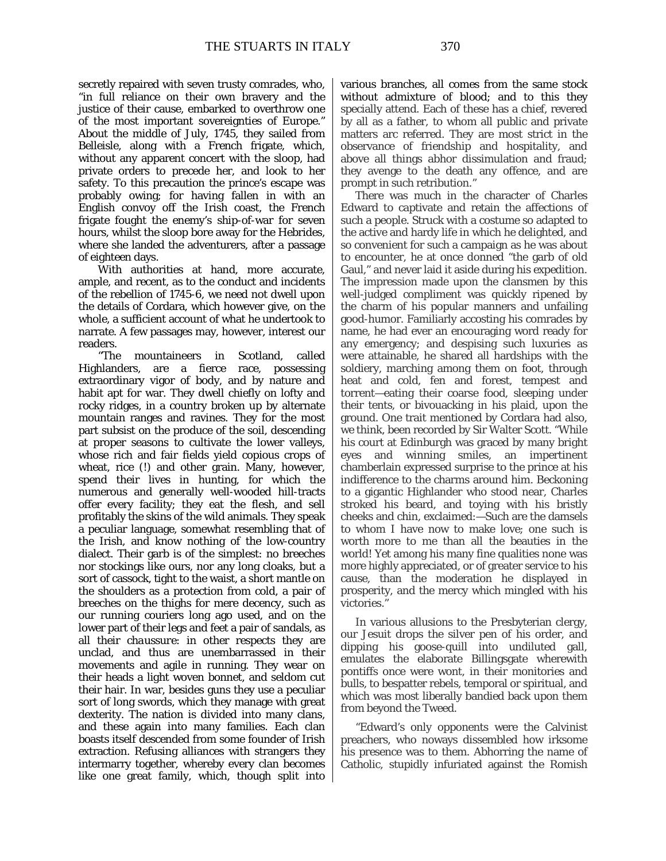secretly repaired with seven trusty comrades, who, "in full reliance on their own bravery and the justice of their cause, embarked to overthrow one of the most important sovereignties of Europe." About the middle of July, 1745, they sailed from Belleisle, along with a French frigate, which, without any apparent concert with the sloop, had private orders to precede her, and look to her safety. To this precaution the prince's escape was probably owing; for having fallen in with an English convoy off the Irish coast, the French frigate fought the enemy's ship-of-war for seven hours, whilst the sloop bore away for the Hebrides, where she landed the adventurers, after a passage of eighteen days.

With authorities at hand, more accurate, ample, and recent, as to the conduct and incidents of the rebellion of 1745-6, we need not dwell upon the details of Cordara, which however give, on the whole, a sufficient account of what he undertook to narrate. A few passages may, however, interest our readers.<br>The

mountaineers in Scotland, called Highlanders, are a fierce race, possessing extraordinary vigor of body, and by nature and habit apt for war. They dwell chiefly on lofty and rocky ridges, in a country broken up by alternate mountain ranges and ravines. They for the most part subsist on the produce of the soil, descending at proper seasons to cultivate the lower valleys, whose rich and fair fields yield copious crops of wheat, rice (!) and other grain. Many, however, spend their lives in hunting, for which the numerous and generally well-wooded hill-tracts offer every facility; they eat the flesh, and sell profitably the skins of the wild animals. They speak a peculiar language, somewhat resembling that of the Irish, and know nothing of the low-country dialect. Their garb is of the simplest: no breeches nor stockings like ours, nor any long cloaks, but a sort of cassock, tight to the waist, a short mantle on the shoulders as a protection from cold, a pair of breeches on the thighs for mere decency, such as our running couriers long ago used, and on the lower part of their legs and feet a pair of sandals, as all their *chaussure*: in other respects they are unclad, and thus are unembarrassed in their movements and agile in running. They wear on their heads a light woven bonnet, and seldom cut their hair. In war, besides guns they use a peculiar sort of long swords, which they manage with great dexterity. The nation is divided into many clans, and these again into many families. Each clan boasts itself descended from some founder of Irish extraction. Refusing alliances with strangers they intermarry together, whereby every clan becomes like one great family, which, though split into various branches, all comes from the same stock without admixture of blood; and to this they specially attend. Each of these has a chief, revered by all as a father, to whom all public and private matters arc referred. They are most strict in the observance of friendship and hospitality, and above all things abhor dissimulation and fraud; they avenge to the death any offence, and are prompt in such retribution."

There was much in the character of Charles Edward to captivate and retain the affections of such a people. Struck with a costume so adapted to the active and hardy life in which he delighted, and so convenient for such a campaign as he was about to encounter, he at once donned "the garb of old Gaul," and never laid it aside during his expedition. The impression made upon the clansmen by this well-judged compliment was quickly ripened by the charm of his popular manners and unfailing good-humor. Familiarly accosting his comrades by name, he had ever an encouraging word ready for any emergency; and despising such luxuries as were attainable, he shared all hardships with the soldiery, marching among them on foot, through heat and cold, fen and forest, tempest and torrent—eating their coarse food, sleeping under their tents, or bivouacking in his plaid, upon the ground. One trait mentioned by Cordara had also, we think, been recorded by Sir Walter Scott. "While his court at Edinburgh was graced by many bright eyes and winning smiles, an impertinent chamberlain expressed surprise to the prince at his indifference to the charms around him. Beckoning to a gigantic Highlander who stood near, Charles stroked his beard, and toying with his bristly cheeks and chin, exclaimed:—Such are the damsels to whom I have now to make love; one such is worth more to me than all the beauties in the world! Yet among his many fine qualities none was more highly appreciated, or of greater service to his cause, than the moderation he displayed in prosperity, and the mercy which mingled with his victories."

In various allusions to the Presbyterian clergy, our Jesuit drops the silver pen of his order, and dipping his goose-quill into undiluted gall, emulates the elaborate Billingsgate wherewith pontiffs once were wont, in their monitories and bulls, to bespatter rebels, temporal or spiritual, and which was most liberally bandied back upon them from beyond the Tweed.

"Edward's only opponents were the Calvinist preachers, who noways dissembled how irksome his presence was to them. Abhorring the name of Catholic, stupidly infuriated against the Romish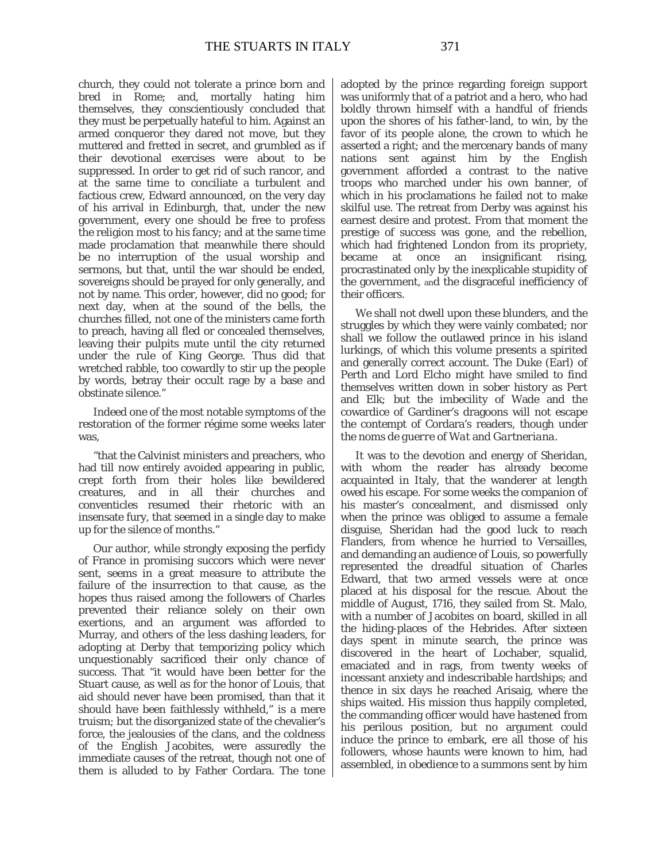church, they could not tolerate a prince born and bred in Rome; and, mortally hating him themselves, they conscientiously concluded that they must be perpetually hateful to him. Against an armed conqueror they dared not move, but they muttered and fretted in secret, and grumbled as if their devotional exercises were about to be suppressed. In order to get rid of such rancor, and at the same time to conciliate a turbulent and factious crew, Edward announced, on the very day of his arrival in Edinburgh, that, under the new government, every one should be free to profess the religion most to his fancy; and at the same time made proclamation that meanwhile there should be no interruption of the usual worship and sermons, but that, until the war should be ended, sovereigns should be prayed for only generally, and not by name. This order, however, did no good; for next day, when at the sound of the bells, the churches filled, not one of the ministers came forth to preach, having all fled or concealed themselves, leaving their pulpits mute until the city returned under the rule of King George. Thus did that wretched rabble, too cowardly to stir up the people by words, betray their occult rage by a base and obstinate silence."

Indeed one of the most notable symptoms of the restoration of the former régime some weeks later was,

"that the Calvinist ministers and preachers, who had till now entirely avoided appearing in public, crept forth from their holes like bewildered creatures, and in all their churches and conventicles resumed their rhetoric with an insensate fury, that seemed in a single day to make up for the silence of months."

Our author, while strongly exposing the perfidy of France in promising succors which were never sent, seems in a great measure to attribute the failure of the insurrection to that cause, as the hopes thus raised among the followers of Charles prevented their reliance solely on their own exertions, and an argument was afforded to Murray, and others of the less dashing leaders, for adopting at Derby that temporizing policy which unquestionably sacrificed their only chance of success. That "it would have been better for the Stuart cause, as well as for the honor of Louis, that aid should never have been promised, than that it should have been faithlessly withheld," is a mere truism; but the disorganized state of the chevalier's force, the jealousies of the clans, and the coldness of the English Jacobites, were assuredly the immediate causes of the retreat, though not one of them is alluded to by Father Cordara. The tone adopted by the prince regarding foreign support was uniformly that of a patriot and a hero, who had boldly thrown himself with a handful of friends upon the shores of his father-land, to win, by the favor of its people alone, the crown to which he asserted a right; and the mercenary bands of many nations sent against him by the English government afforded a contrast to the native troops who marched under his own banner, of which in his proclamations he failed not to make skilful use. The retreat from Derby was against his earnest desire and protest. From that moment the prestige of success was gone, and the rebellion, which had frightened London from its propriety, became at once an insignificant rising, procrastinated only by the inexplicable stupidity of the government, and the disgraceful inefficiency of their officers.

We shall not dwell upon these blunders, and the struggles by which they were vainly combated; nor shall we follow the outlawed prince in his island lurkings, of which this volume presents a spirited and generally correct account. The Duke (Earl) of Perth and Lord Elcho might have smiled to find themselves written down in sober history as *Pert* and *Elk;* but the imbecility of Wade and the cowardice of Gardiner's dragoons will not escape the contempt of Cordara's readers, though under the *noms de guerre* of *Wat* and *Gartneriana.*

It was to the devotion and energy of Sheridan, with whom the reader has already become acquainted in Italy, that the wanderer at length owed his escape. For some weeks the companion of his master's concealment, and dismissed only when the prince was obliged to assume a female disguise, Sheridan had the good luck to reach Flanders, from whence he hurried to Versailles, and demanding an audience of Louis, so powerfully represented the dreadful situation of Charles Edward, that two armed vessels were at once placed at his disposal for the rescue. About the middle of August, 1716, they sailed from St. Malo, with a number of Jacobites on board, skilled in all the hiding-places of the Hebrides. After sixteen days spent in minute search, the prince was discovered in the heart of Lochaber, squalid, emaciated and in rags, from twenty weeks of incessant anxiety and indescribable hardships; and thence in six days he reached Arisaig, where the ships waited. His mission thus happily completed, the commanding officer would have hastened from his perilous position, but no argument could induce the prince to embark, ere all those of his followers, whose haunts were known to him, had assembled, in obedience to a summons sent by him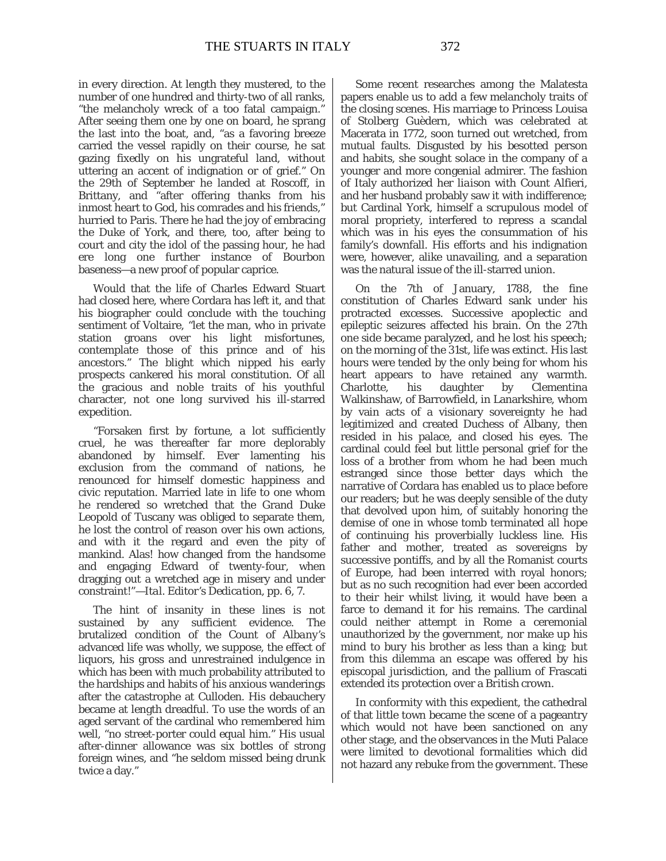in every direction. At length they mustered, to the number of one hundred and thirty-two of all ranks, "the melancholy wreck of a too fatal campaign." After seeing them one by one on board, he sprang the last into the boat, and, "as a favoring breeze carried the vessel rapidly on their course, he sat gazing fixedly on his ungrateful land, without uttering an accent of indignation or of grief." On the 29th of September he landed at Roscoff, in Brittany, and "after offering thanks from his inmost heart to God, his comrades and his friends," hurried to Paris. There he had the joy of embracing the Duke of York, and there, too, after being to court and city the idol of the passing hour, he had ere long one further instance of Bourbon baseness—a new proof of popular caprice.

Would that the life of Charles Edward Stuart had closed here, where Cordara has left it, and that his biographer could conclude with the touching sentiment of Voltaire, "let the man, who in private station groans over his light misfortunes, contemplate those of this prince and of his ancestors." The blight which nipped his early prospects cankered his moral constitution. Of all the gracious and noble traits of his youthful character, not one long survived his ill-starred expedition.

"Forsaken first by fortune, a lot sufficiently cruel, he was thereafter far more deplorably abandoned by himself. Ever lamenting his exclusion from the command of nations, he renounced for himself domestic happiness and civic reputation. Married late in life to one whom he rendered so wretched that the Grand Duke Leopold of Tuscany was obliged to separate them, he lost the control of reason over his own actions, and with it the regard and even the pity of mankind. Alas! how changed from the handsome and engaging Edward of twenty-four, when dragging out a wretched age in misery and under constraint!"—*Ital. Editor's Dedication,* pp. 6, 7.

The hint of insanity in these lines is not sustained by any sufficient evidence. The brutalized condition of the *Count of Albany's* advanced life was wholly, we suppose, the effect of liquors, his gross and unrestrained indulgence in which has been with much probability attributed to the hardships and habits of his anxious wanderings after the catastrophe at Culloden. His debauchery became at length dreadful. To use the words of an aged servant of the cardinal who remembered him well, "no street-porter could equal him." His usual after-dinner allowance was six bottles of strong foreign wines, and "he seldom missed being drunk twice a day."

Some recent researches among the Malatesta papers enable us to add a few melancholy traits of the closing scenes. His marriage to Princess Louisa of Stolberg Guèdern, which was celebrated at Macerata in 1772, soon turned out wretched, from mutual faults. Disgusted by his besotted person and habits, she sought solace in the company of a younger and more congenial admirer. The fashion of Italy authorized her *liaison* with Count Alfieri, and her husband probably saw it with indifference; but Cardinal York, himself a scrupulous model of moral propriety, interfered to repress a scandal which was in his eyes the consummation of his family's downfall. His efforts and his indignation were, however, alike unavailing, and a separation was the natural issue of the ill-starred union.

On the 7th of January, 1788, the fine constitution of Charles Edward sank under his protracted excesses. Successive apoplectic and epileptic seizures affected his brain. On the 27th one side became paralyzed, and he lost his speech; on the morning of the 31st, life was extinct. His last hours were tended by the only being for whom his heart appears to have retained any warmth. Charlotte, his daughter by Clementina Walkinshaw, of Barrowfield, in Lanarkshire, whom by vain acts of a visionary sovereignty he had legitimized and created Duchess of Albany, then resided in his palace, and closed his eyes. The cardinal could feel but little personal grief for the loss of a brother from whom he had been much estranged since those better days which the narrative of Cordara has enabled us to place before our readers; but he was deeply sensible of the duty that devolved upon him, of suitably honoring the demise of one in whose tomb terminated all hope of continuing his proverbially luckless line. His father and mother, treated as sovereigns by successive pontiffs, and by all the Romanist courts of Europe, had been interred with royal honors; but as no such recognition had ever been accorded to their heir whilst living, it would have been a farce to demand it for his remains. The cardinal could neither attempt in Rome a ceremonial unauthorized by the government, nor make up his mind to bury his brother as less than a king; but from this dilemma an escape was offered by his episcopal jurisdiction, and the pallium of Frascati extended its protection over a *British* crown.

In conformity with this expedient, the cathedral of that little town became the scene of a pageantry which would not have been sanctioned on any other stage, and the observances in the Muti Palace were limited to devotional formalities which did not hazard any rebuke from the government. These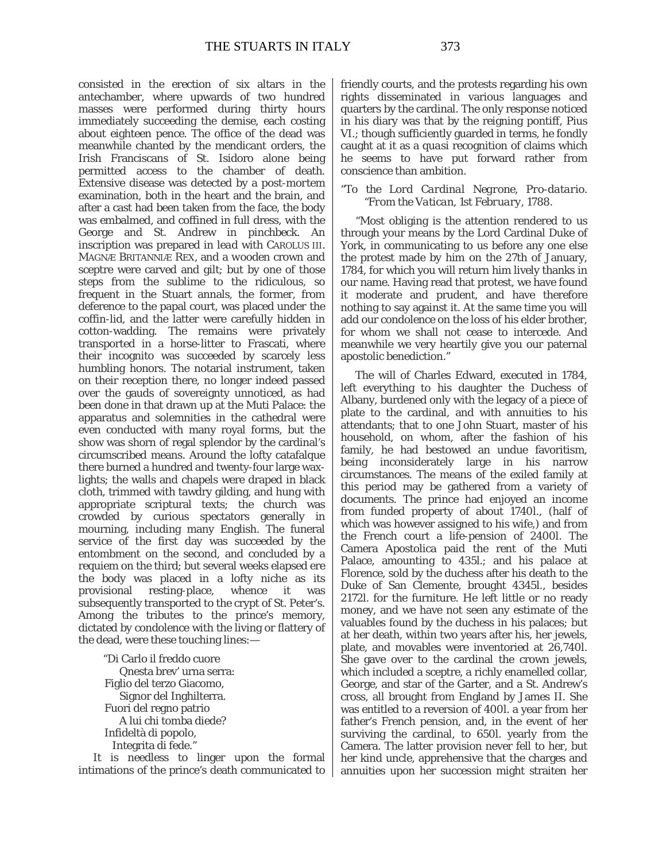consisted in the erection of six altars in the antechamber, where upwards of two hundred masses were performed during thirty hours immediately succeeding the demise, each costing about eighteen pence. The office of the dead was meanwhile chanted by the mendicant orders, the Irish Franciscans of St. Isidoro alone being permitted access to the chamber of death. Extensive disease was detected by a *post-mortem* examination, both in the heart and the brain, and after a cast had been taken from the face, the body was embalmed, and coffined in full dress, with the George and St. Andrew in *pinchbeck.* An inscription was prepared in *lead* with CAROLUS III. MAGNÆ BRITANNIÆ REX, and a *wooden* crown and sceptre were carved and gilt; but by one of those steps from the sublime to the ridiculous, so frequent in the Stuart annals, the former, from deference to the papal court, was placed *under* the coffin-lid, and the latter were carefully hidden in cotton-wadding. The remains were privately transported in a horse-litter to Frascati, where their incognito was succeeded by scarcely less humbling honors. The notarial instrument, taken on their reception there, no longer indeed passed over the gauds of sovereignty unnoticed, as had been done in that drawn up at the Muti Palace: the apparatus and solemnities in the cathedral were even conducted with many royal forms, but the show was shorn of regal splendor by the cardinal's circumscribed means. Around the lofty catafalque there burned a hundred and twenty-four large waxlights; the walls and chapels were draped in black cloth, trimmed with tawdry gilding, and hung with appropriate scriptural texts; the church was crowded by curious spectators generally in mourning, including many English. The funeral service of the first day was succeeded by the entombment on the second, and concluded by a requiem on the third; but several weeks elapsed ere the body was placed in a lofty niche as its provisional resting-place, whence it was subsequently transported to the crypt of St. Peter's. Among the tributes to the prince's memory, dictated by condolence with the living or flattery of the dead, were these touching lines:—

"Di Carlo il freddo cuore Qnesta brev' urna serra: Figlio del terzo Giacomo, Signor del Inghilterra. Fuori del regno patrio A lui chi tomba diede? Infideltà di popolo, Integrita di fede."

It is needless to linger upon the formal intimations of the prince's death communicated to friendly courts, and the protests regarding his own rights disseminated in various languages and quarters by the cardinal. The only response noticed in his diary was that by the reigning pontiff, Pius VI.; though sufficiently guarded in terms, he fondly caught at it as a *quasi* recognition of claims which he seems to have put forward rather from conscience than ambition.

#### "*To the Lord Cardinal Negrone, Pro-datario. "From the Vatican, 1st February,* 1788.

"Most obliging is the attention rendered to us through your means by the Lord Cardinal Duke of York, in communicating to us before any one else the protest made by him on the 27th of January, 1784, for which you will return him lively thanks in our name. Having read that protest, we have found it moderate and prudent, and have therefore nothing to say against it. At the same time you will add our condolence on the loss of his elder brother, for whom we shall not cease to intercede. And meanwhile we very heartily give you our paternal apostolic benediction."

The will of Charles Edward, executed in 1784, left everything to his daughter the Duchess of Albany, burdened only with the legacy of a piece of plate to the cardinal, and with annuities to his attendants; that to one John Stuart, master of his household, on whom, after the fashion of his family, he had bestowed an undue favoritism, being inconsiderately large in his narrow circumstances. The means of the exiled family at this period may be gathered from a variety of documents. The prince had enjoyed an income from funded property of about 1740*l*., (half of which was however assigned to his wife,) and from the French court a life-pension of 2400*l*. The Camera Apostolica paid the rent of the Muti Palace, amounting to 435*l*.; and his palace at Florence, sold by the duchess after his death to the Duke of San Clemente, brought 4345*l*., besides 2172*l*. for the furniture. He left little or no ready money, and we have not seen any estimate of the valuables found by the duchess in his palaces; but at her death, within two years after his, her jewels, plate, and movables were inventoried at 26,740*l*. She gave over to the cardinal the crown jewels, which included a sceptre, a richly enamelled collar, George, and star of the Garter, and a St. Andrew's cross, all brought from England by James II. She was entitled to a reversion of 400*l*. a year from her father's French pension, and, in the event of her surviving the cardinal, to 650*l*. yearly from the Camera. The latter provision never fell to her, but her kind uncle, apprehensive that the charges and annuities upon her succession might straiten her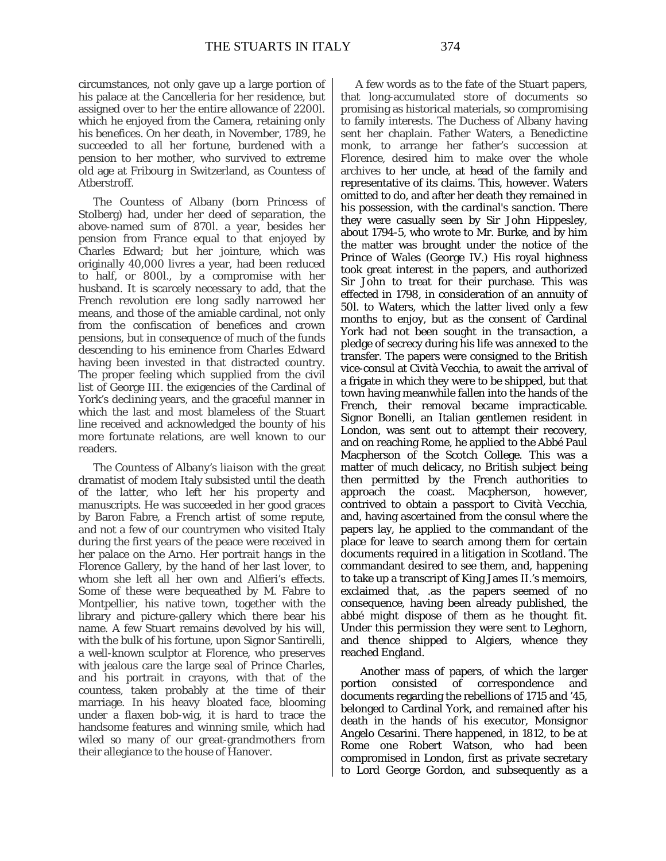circumstances, not only gave up a large portion of his palace at the Cancelleria for her residence, but assigned over to her the entire allowance of 2200*l*. which he enjoyed from the Camera, retaining only his benefices. On her death, in November, 1789, he succeeded to all her fortune, burdened with a pension to her mother, who survived to extreme old age at Fribourg in Switzerland, as Countess of Atberstroff.

The Countess of Albany (born Princess of Stolberg) had, under her deed of separation, the above-named sum of 870*l*. a year, besides her pension from France equal to that enjoyed by Charles Edward; but her jointure, which was originally 40,000 livres a year, had been reduced to half, or 800*l*., by a compromise with her husband. It is scarcely necessary to add, that the French revolution ere long sadly narrowed her means, and those of the amiable cardinal, not only from the confiscation of benefices and crown pensions, but in consequence of much of the funds descending to his eminence from Charles Edward having been invested in that distracted country. The proper feeling which supplied from the civil list of George III. the exigencies of the Cardinal of York's declining years, and the graceful manner in which the last and most blameless of the Stuart line received and acknowledged the bounty of his more fortunate relations, are well known to our readers.

The Countess of Albany's *liaison* with the great dramatist of modem Italy subsisted until the death of the latter, who left her his property and manuscripts. He was succeeded in her good graces by Baron Fabre, a French artist of some repute, and not a few of our countrymen who visited Italy during the first years of the peace were received in her palace on the Arno. Her portrait hangs in the Florence Gallery, by the hand of her last lover, to whom she left all her own and Alfieri's effects. Some of these were bequeathed by M. Fabre to Montpellier, his native town, together with the library and picture-gallery which there bear his name. A few Stuart remains devolved by his will, with the bulk of his fortune, upon Signor Santirelli, a well-known sculptor at Florence, who preserves with jealous care the large seal of Prince Charles, and his portrait in crayons, with that of the countess, taken probably at the time of their marriage. In his heavy bloated face, blooming under a flaxen bob-wig, it is hard to trace the handsome features and winning smile, which had wiled so many of our great-grandmothers from their allegiance to the house of Hanover.

A few words as to the fate of the Stuart papers, that long-accumulated store of documents so promising as historical materials, so compromising to family interests. The Duchess of Albany having sent her chaplain. Father Waters, a Benedictine monk, to arrange her father's succession at Florence, desired him to make over the whole archives to her uncle, at head of the family and representative of its claims. This, however. Waters omitted to do, and after her death they remained in his possession, with the cardinal's sanction. There they were casually seen by Sir John Hippesley, about 1794-5, who wrote to Mr. Burke, and by him the matter was brought under the notice of the Prince of Wales (George IV.) His royal highness took great interest in the papers, and authorized Sir John to treat for their purchase. This was effected in 1798, in consideration of an annuity of 50*l*. to Waters, which the latter lived only a few months to enjoy, but as the consent of Cardinal York had not been sought in the transaction, a pledge of secrecy during his life was annexed to the transfer. The papers were consigned to the British vice-consul at Cività Vecchia, to await the arrival of a frigate in which they were to be shipped, but that town having meanwhile fallen into the hands of the French, their removal became impracticable. Signor Bonelli, an Italian gentlemen resident in London, was sent out to attempt their recovery, and on reaching Rome, he applied to the Abbé Paul Macpherson of the Scotch College. This was a matter of much delicacy, no British subject being then permitted by the French authorities to approach the coast. Macpherson, however, contrived to obtain a passport to Cività Vecchia, and, having ascertained from the consul where the papers lay, he applied to the commandant of the place for leave to search among them for certain documents required in a litigation in Scotland. The commandant desired to see them, and, happening to take up a transcript of King James II.'s memoirs, exclaimed that, .as the papers seemed of no consequence, having been already published, the abbé might dispose of them as he thought fit. Under this permission they were sent to Leghorn, and thence shipped to Algiers, whence they reached England.

Another mass of papers, of which the larger portion consisted of correspondence and documents regarding the rebellions of 1715 and '45, belonged to Cardinal York, and remained after his death in the hands of his executor, Monsignor Angelo Cesarini. There happened, in 1812, to be at Rome one Robert Watson, who had been compromised in London, first as private secretary to Lord George Gordon, and subsequently as a